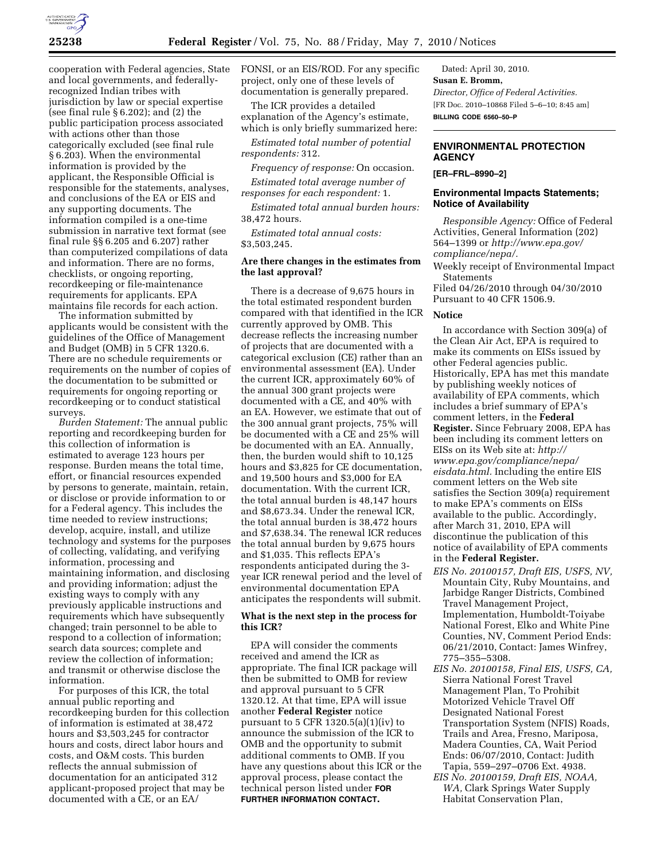

cooperation with Federal agencies, State and local governments, and federallyrecognized Indian tribes with jurisdiction by law or special expertise (see final rule  $\S 6.202$ ); and  $(2)$  the public participation process associated with actions other than those categorically excluded (see final rule § 6.203). When the environmental information is provided by the applicant, the Responsible Official is responsible for the statements, analyses, and conclusions of the EA or EIS and any supporting documents. The information compiled is a one-time submission in narrative text format (see final rule §§ 6.205 and 6.207) rather than computerized compilations of data and information. There are no forms, checklists, or ongoing reporting, recordkeeping or file-maintenance requirements for applicants. EPA maintains file records for each action.

The information submitted by applicants would be consistent with the guidelines of the Office of Management and Budget (OMB) in 5 CFR 1320.6. There are no schedule requirements or requirements on the number of copies of the documentation to be submitted or requirements for ongoing reporting or recordkeeping or to conduct statistical surveys.

*Burden Statement:* The annual public reporting and recordkeeping burden for this collection of information is estimated to average 123 hours per response. Burden means the total time, effort, or financial resources expended by persons to generate, maintain, retain, or disclose or provide information to or for a Federal agency. This includes the time needed to review instructions; develop, acquire, install, and utilize technology and systems for the purposes of collecting, validating, and verifying information, processing and maintaining information, and disclosing and providing information; adjust the existing ways to comply with any previously applicable instructions and requirements which have subsequently changed; train personnel to be able to respond to a collection of information; search data sources; complete and review the collection of information; and transmit or otherwise disclose the information.

For purposes of this ICR, the total annual public reporting and recordkeeping burden for this collection of information is estimated at 38,472 hours and \$3,503,245 for contractor hours and costs, direct labor hours and costs, and O&M costs. This burden reflects the annual submission of documentation for an anticipated 312 applicant-proposed project that may be documented with a CE, or an EA/

FONSI, or an EIS/ROD. For any specific project, only one of these levels of documentation is generally prepared.

The ICR provides a detailed explanation of the Agency's estimate, which is only briefly summarized here:

*Estimated total number of potential respondents:* 312.

*Frequency of response:* On occasion.

*Estimated total average number of responses for each respondent:* 1.

*Estimated total annual burden hours:*  38,472 hours.

*Estimated total annual costs:*  \$3,503,245.

## **Are there changes in the estimates from the last approval?**

There is a decrease of 9,675 hours in the total estimated respondent burden compared with that identified in the ICR currently approved by OMB. This decrease reflects the increasing number of projects that are documented with a categorical exclusion (CE) rather than an environmental assessment (EA). Under the current ICR, approximately 60% of the annual 300 grant projects were documented with a CE, and 40% with an EA. However, we estimate that out of the 300 annual grant projects, 75% will be documented with a CE and 25% will be documented with an EA. Annually, then, the burden would shift to 10,125 hours and \$3,825 for CE documentation, and 19,500 hours and \$3,000 for EA documentation. With the current ICR, the total annual burden is 48,147 hours and \$8,673.34. Under the renewal ICR, the total annual burden is 38,472 hours and \$7,638.34. The renewal ICR reduces the total annual burden by 9,675 hours and \$1,035. This reflects EPA's respondents anticipated during the 3 year ICR renewal period and the level of environmental documentation EPA anticipates the respondents will submit.

### **What is the next step in the process for this ICR?**

EPA will consider the comments received and amend the ICR as appropriate. The final ICR package will then be submitted to OMB for review and approval pursuant to 5 CFR 1320.12. At that time, EPA will issue another **Federal Register** notice pursuant to  $5$  CFR 1320.5(a)(1)(iv) to announce the submission of the ICR to OMB and the opportunity to submit additional comments to OMB. If you have any questions about this ICR or the approval process, please contact the technical person listed under **FOR FURTHER INFORMATION CONTACT.** 

Dated: April 30, 2010. **Susan E. Bromm,**  *Director, Office of Federal Activities.*  [FR Doc. 2010–10868 Filed 5–6–10; 8:45 am] **BILLING CODE 6560–50–P** 

# **ENVIRONMENTAL PROTECTION AGENCY**

**[ER–FRL–8990–2]** 

## **Environmental Impacts Statements; Notice of Availability**

*Responsible Agency:* Office of Federal Activities, General Information (202) 564–1399 or *http://www.epa.gov/ compliance/nepa/.* 

Weekly receipt of Environmental Impact Statements

Filed 04/26/2010 through 04/30/2010 Pursuant to 40 CFR 1506.9.

#### **Notice**

In accordance with Section 309(a) of the Clean Air Act, EPA is required to make its comments on EISs issued by other Federal agencies public. Historically, EPA has met this mandate by publishing weekly notices of availability of EPA comments, which includes a brief summary of EPA's comment letters, in the **Federal Register.** Since February 2008, EPA has been including its comment letters on EISs on its Web site at: *http:// www.epa.gov/compliance/nepa/ eisdata.html.* Including the entire EIS comment letters on the Web site satisfies the Section 309(a) requirement to make EPA's comments on EISs available to the public. Accordingly, after March 31, 2010, EPA will discontinue the publication of this notice of availability of EPA comments in the **Federal Register.** 

- *EIS No. 20100157, Draft EIS, USFS, NV,*  Mountain City, Ruby Mountains, and Jarbidge Ranger Districts, Combined Travel Management Project, Implementation, Humboldt-Toiyabe National Forest, Elko and White Pine Counties, NV, Comment Period Ends: 06/21/2010, Contact: James Winfrey, 775–355–5308.
- *EIS No. 20100158, Final EIS, USFS, CA,*  Sierra National Forest Travel Management Plan, To Prohibit Motorized Vehicle Travel Off Designated National Forest Transportation System (NFIS) Roads, Trails and Area, Fresno, Mariposa, Madera Counties, CA, Wait Period Ends: 06/07/2010, Contact: Judith Tapia, 559–297–0706 Ext. 4938.
- *EIS No. 20100159, Draft EIS, NOAA, WA,* Clark Springs Water Supply Habitat Conservation Plan,